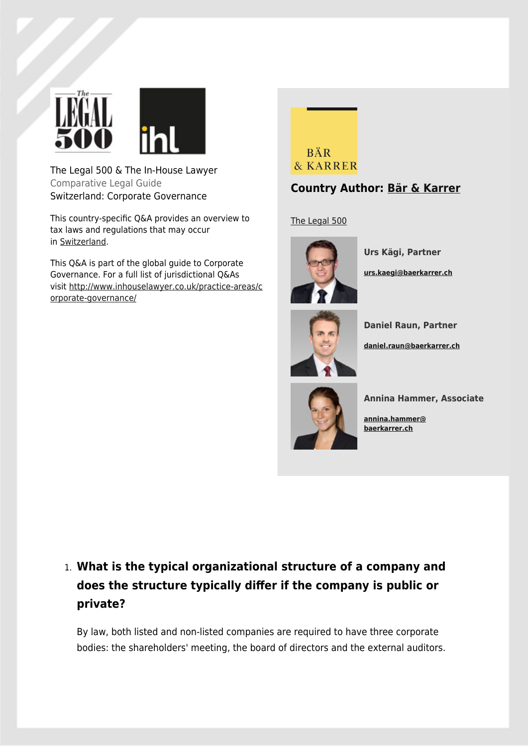

The Legal 500 & The In-House Lawyer Comparative Legal Guide Switzerland: Corporate Governance

This country-specific Q&A provides an overview to tax laws and regulations that may occur in [Switzerland.](http://www.inhouselawyer.co.uk/europe/switzerland)

This Q&A is part of the global guide to Corporate Governance. For a full list of jurisdictional Q&As visit [http://www.inhouselawyer.co.uk/practice-areas/c](http://www.inhouselawyer.co.uk/practice-areas/corporate-governance/) [orporate-governance/](http://www.inhouselawyer.co.uk/practice-areas/corporate-governance/)



#### **Country Author: [Bär & Karrer](https://www.legal500.com/firms/10051/10051)**

[The Legal 500](https://www.legal500.com/firms/10051/10051)



**Urs Kägi, Partner [urs.kaegi@baerkarrer.ch](mailto:urs.kaegi@baerkarrer.ch)**



**Daniel Raun, Partner**

**[daniel.raun@baerkarrer.ch](mailto:daniel.raun@baerkarrer.ch)**



**Annina Hammer, Associate**

**[annina.hammer@](mailto:annina.hammer@baerkarrer.ch) [baerkarrer.ch](mailto:annina.hammer@baerkarrer.ch)**

# 1. **What is the typical organizational structure of a company and does the structure typically differ if the company is public or private?**

By law, both listed and non-listed companies are required to have three corporate bodies: the shareholders' meeting, the board of directors and the external auditors.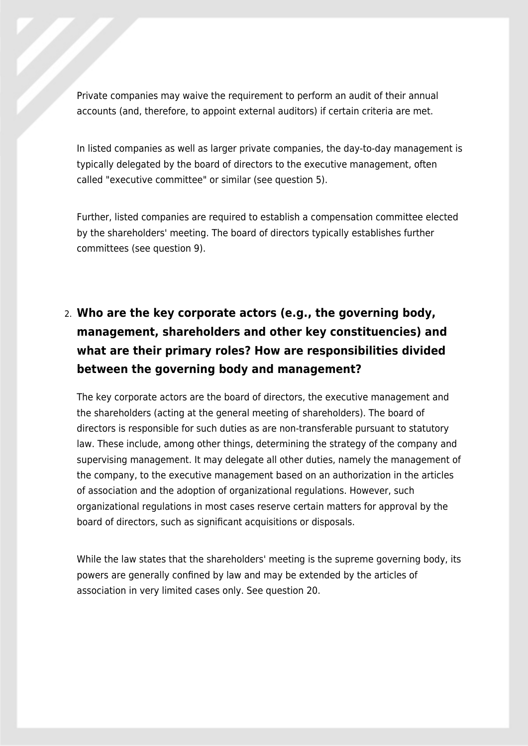Private companies may waive the requirement to perform an audit of their annual accounts (and, therefore, to appoint external auditors) if certain criteria are met.

In listed companies as well as larger private companies, the day-to-day management is typically delegated by the board of directors to the executive management, often called "executive committee" or similar (see question 5).

Further, listed companies are required to establish a compensation committee elected by the shareholders' meeting. The board of directors typically establishes further committees (see question 9).

# 2. **Who are the key corporate actors (e.g., the governing body, management, shareholders and other key constituencies) and what are their primary roles? How are responsibilities divided between the governing body and management?**

The key corporate actors are the board of directors, the executive management and the shareholders (acting at the general meeting of shareholders). The board of directors is responsible for such duties as are non-transferable pursuant to statutory law. These include, among other things, determining the strategy of the company and supervising management. It may delegate all other duties, namely the management of the company, to the executive management based on an authorization in the articles of association and the adoption of organizational regulations. However, such organizational regulations in most cases reserve certain matters for approval by the board of directors, such as significant acquisitions or disposals.

While the law states that the shareholders' meeting is the supreme governing body, its powers are generally confined by law and may be extended by the articles of association in very limited cases only. See question 20.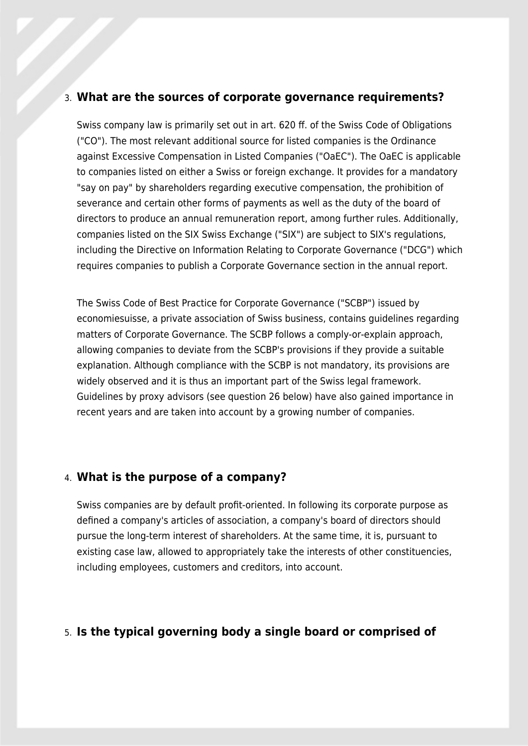#### 3. **What are the sources of corporate governance requirements?**

Swiss company law is primarily set out in art. 620 ff. of the Swiss Code of Obligations ("CO"). The most relevant additional source for listed companies is the Ordinance against Excessive Compensation in Listed Companies ("OaEC"). The OaEC is applicable to companies listed on either a Swiss or foreign exchange. It provides for a mandatory "say on pay" by shareholders regarding executive compensation, the prohibition of severance and certain other forms of payments as well as the duty of the board of directors to produce an annual remuneration report, among further rules. Additionally, companies listed on the SIX Swiss Exchange ("SIX") are subject to SIX's regulations, including the Directive on Information Relating to Corporate Governance ("DCG") which requires companies to publish a Corporate Governance section in the annual report.

The Swiss Code of Best Practice for Corporate Governance ("SCBP") issued by economiesuisse, a private association of Swiss business, contains guidelines regarding matters of Corporate Governance. The SCBP follows a comply-or-explain approach, allowing companies to deviate from the SCBP's provisions if they provide a suitable explanation. Although compliance with the SCBP is not mandatory, its provisions are widely observed and it is thus an important part of the Swiss legal framework. Guidelines by proxy advisors (see question 26 below) have also gained importance in recent years and are taken into account by a growing number of companies.

#### 4. **What is the purpose of a company?**

Swiss companies are by default profit-oriented. In following its corporate purpose as defined a company's articles of association, a company's board of directors should pursue the long-term interest of shareholders. At the same time, it is, pursuant to existing case law, allowed to appropriately take the interests of other constituencies, including employees, customers and creditors, into account.

#### 5. **Is the typical governing body a single board or comprised of**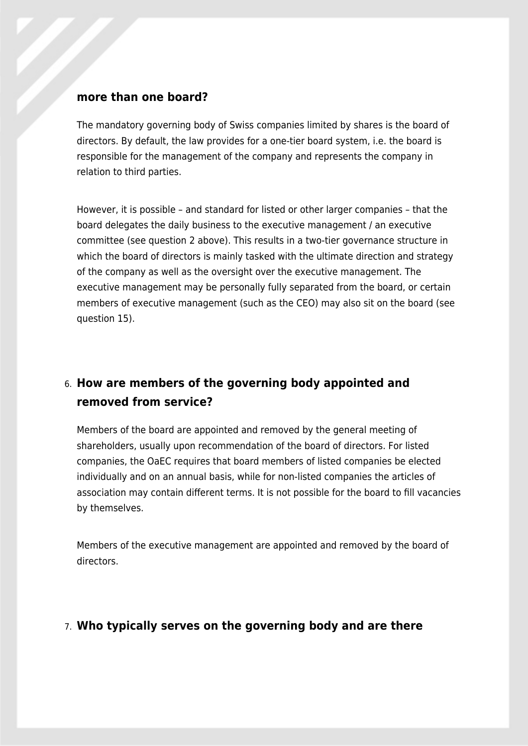#### **more than one board?**

The mandatory governing body of Swiss companies limited by shares is the board of directors. By default, the law provides for a one-tier board system, i.e. the board is responsible for the management of the company and represents the company in relation to third parties.

However, it is possible – and standard for listed or other larger companies – that the board delegates the daily business to the executive management / an executive committee (see question 2 above). This results in a two-tier governance structure in which the board of directors is mainly tasked with the ultimate direction and strategy of the company as well as the oversight over the executive management. The executive management may be personally fully separated from the board, or certain members of executive management (such as the CEO) may also sit on the board (see question 15).

### 6. **How are members of the governing body appointed and removed from service?**

Members of the board are appointed and removed by the general meeting of shareholders, usually upon recommendation of the board of directors. For listed companies, the OaEC requires that board members of listed companies be elected individually and on an annual basis, while for non-listed companies the articles of association may contain different terms. It is not possible for the board to fill vacancies by themselves.

Members of the executive management are appointed and removed by the board of directors.

#### 7. **Who typically serves on the governing body and are there**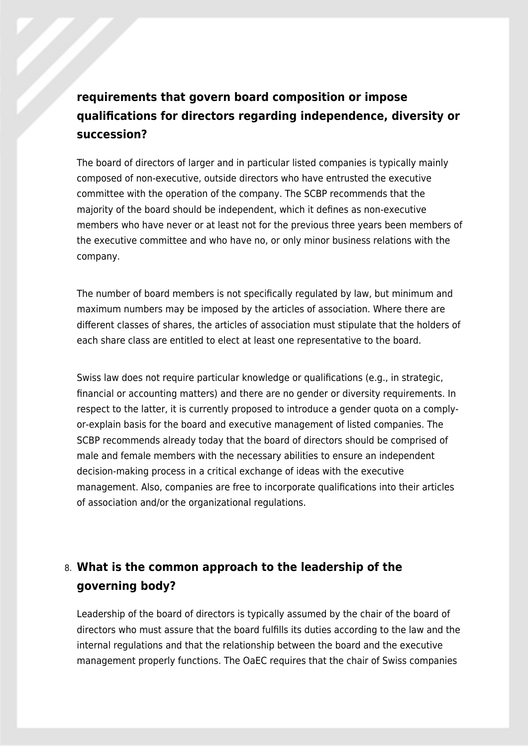## **requirements that govern board composition or impose qualifications for directors regarding independence, diversity or succession?**

The board of directors of larger and in particular listed companies is typically mainly composed of non-executive, outside directors who have entrusted the executive committee with the operation of the company. The SCBP recommends that the majority of the board should be independent, which it defines as non-executive members who have never or at least not for the previous three years been members of the executive committee and who have no, or only minor business relations with the company.

The number of board members is not specifically regulated by law, but minimum and maximum numbers may be imposed by the articles of association. Where there are different classes of shares, the articles of association must stipulate that the holders of each share class are entitled to elect at least one representative to the board.

Swiss law does not require particular knowledge or qualifications (e.g., in strategic, financial or accounting matters) and there are no gender or diversity requirements. In respect to the latter, it is currently proposed to introduce a gender quota on a complyor-explain basis for the board and executive management of listed companies. The SCBP recommends already today that the board of directors should be comprised of male and female members with the necessary abilities to ensure an independent decision-making process in a critical exchange of ideas with the executive management. Also, companies are free to incorporate qualifications into their articles of association and/or the organizational regulations.

## 8. **What is the common approach to the leadership of the governing body?**

Leadership of the board of directors is typically assumed by the chair of the board of directors who must assure that the board fulfills its duties according to the law and the internal regulations and that the relationship between the board and the executive management properly functions. The OaEC requires that the chair of Swiss companies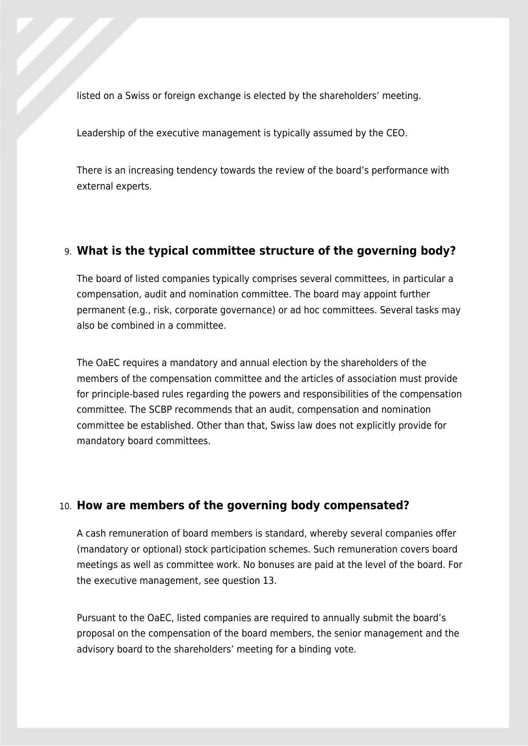listed on a Swiss or foreign exchange is elected by the shareholders' meeting.

Leadership of the executive management is typically assumed by the CEO.

There is an increasing tendency towards the review of the board's performance with external experts.

#### 9. **What is the typical committee structure of the governing body?**

The board of listed companies typically comprises several committees, in particular a compensation, audit and nomination committee. The board may appoint further permanent (e.g., risk, corporate governance) or ad hoc committees. Several tasks may also be combined in a committee.

The OaEC requires a mandatory and annual election by the shareholders of the members of the compensation committee and the articles of association must provide for principle-based rules regarding the powers and responsibilities of the compensation committee. The SCBP recommends that an audit, compensation and nomination committee be established. Other than that, Swiss law does not explicitly provide for mandatory board committees.

#### 10. **How are members of the governing body compensated?**

A cash remuneration of board members is standard, whereby several companies offer (mandatory or optional) stock participation schemes. Such remuneration covers board meetings as well as committee work. No bonuses are paid at the level of the board. For the executive management, see question 13.

Pursuant to the OaEC, listed companies are required to annually submit the board's proposal on the compensation of the board members, the senior management and the advisory board to the shareholders' meeting for a binding vote.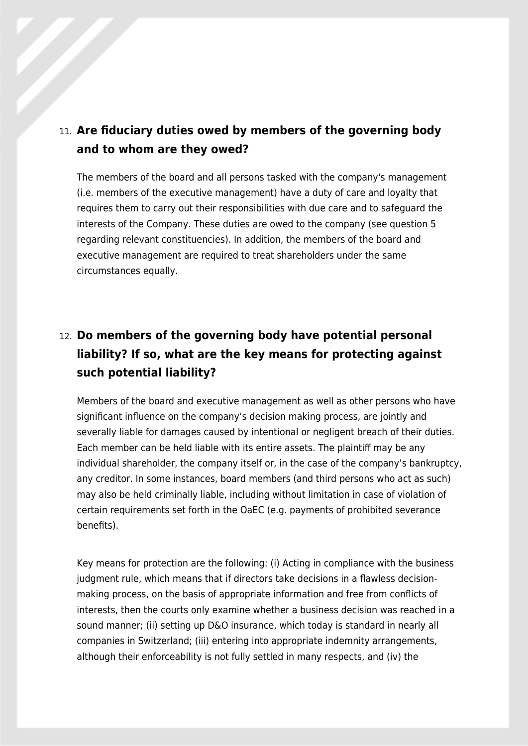### 11. **Are fiduciary duties owed by members of the governing body and to whom are they owed?**

The members of the board and all persons tasked with the company's management (i.e. members of the executive management) have a duty of care and loyalty that requires them to carry out their responsibilities with due care and to safeguard the interests of the Company. These duties are owed to the company (see question 5 regarding relevant constituencies). In addition, the members of the board and executive management are required to treat shareholders under the same circumstances equally.

## 12. **Do members of the governing body have potential personal liability? If so, what are the key means for protecting against such potential liability?**

Members of the board and executive management as well as other persons who have significant influence on the company's decision making process, are jointly and severally liable for damages caused by intentional or negligent breach of their duties. Each member can be held liable with its entire assets. The plaintiff may be any individual shareholder, the company itself or, in the case of the company's bankruptcy, any creditor. In some instances, board members (and third persons who act as such) may also be held criminally liable, including without limitation in case of violation of certain requirements set forth in the OaEC (e.g. payments of prohibited severance benefits).

Key means for protection are the following: (i) Acting in compliance with the business judgment rule, which means that if directors take decisions in a flawless decisionmaking process, on the basis of appropriate information and free from conflicts of interests, then the courts only examine whether a business decision was reached in a sound manner; (ii) setting up D&O insurance, which today is standard in nearly all companies in Switzerland; (iii) entering into appropriate indemnity arrangements, although their enforceability is not fully settled in many respects, and (iv) the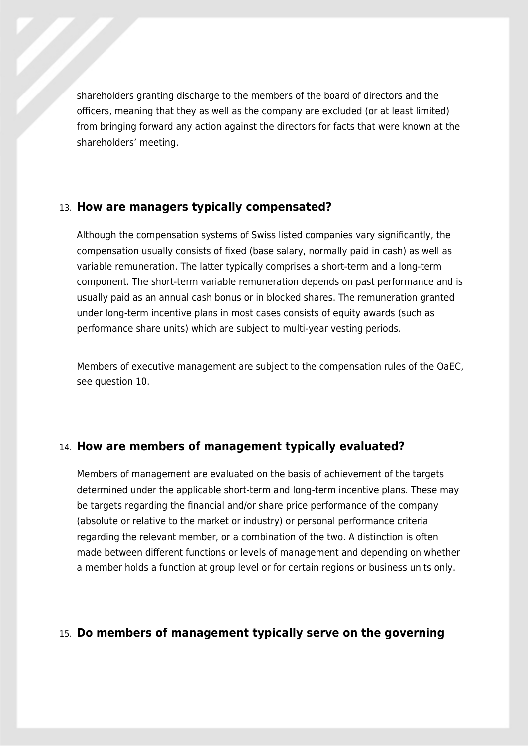shareholders granting discharge to the members of the board of directors and the officers, meaning that they as well as the company are excluded (or at least limited) from bringing forward any action against the directors for facts that were known at the shareholders' meeting.

#### 13. **How are managers typically compensated?**

Although the compensation systems of Swiss listed companies vary significantly, the compensation usually consists of fixed (base salary, normally paid in cash) as well as variable remuneration. The latter typically comprises a short-term and a long-term component. The short-term variable remuneration depends on past performance and is usually paid as an annual cash bonus or in blocked shares. The remuneration granted under long-term incentive plans in most cases consists of equity awards (such as performance share units) which are subject to multi-year vesting periods.

Members of executive management are subject to the compensation rules of the OaEC, see question 10.

#### 14. **How are members of management typically evaluated?**

Members of management are evaluated on the basis of achievement of the targets determined under the applicable short-term and long-term incentive plans. These may be targets regarding the financial and/or share price performance of the company (absolute or relative to the market or industry) or personal performance criteria regarding the relevant member, or a combination of the two. A distinction is often made between different functions or levels of management and depending on whether a member holds a function at group level or for certain regions or business units only.

#### 15. **Do members of management typically serve on the governing**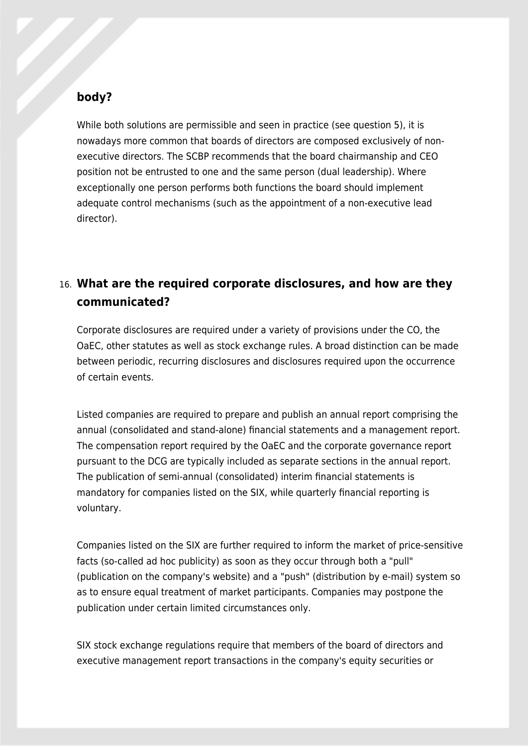#### **body?**

While both solutions are permissible and seen in practice (see question 5), it is nowadays more common that boards of directors are composed exclusively of nonexecutive directors. The SCBP recommends that the board chairmanship and CEO position not be entrusted to one and the same person (dual leadership). Where exceptionally one person performs both functions the board should implement adequate control mechanisms (such as the appointment of a non-executive lead director).

### 16. **What are the required corporate disclosures, and how are they communicated?**

Corporate disclosures are required under a variety of provisions under the CO, the OaEC, other statutes as well as stock exchange rules. A broad distinction can be made between periodic, recurring disclosures and disclosures required upon the occurrence of certain events.

Listed companies are required to prepare and publish an annual report comprising the annual (consolidated and stand-alone) financial statements and a management report. The compensation report required by the OaEC and the corporate governance report pursuant to the DCG are typically included as separate sections in the annual report. The publication of semi-annual (consolidated) interim financial statements is mandatory for companies listed on the SIX, while quarterly financial reporting is voluntary.

Companies listed on the SIX are further required to inform the market of price-sensitive facts (so-called ad hoc publicity) as soon as they occur through both a "pull" (publication on the company's website) and a "push" (distribution by e-mail) system so as to ensure equal treatment of market participants. Companies may postpone the publication under certain limited circumstances only.

SIX stock exchange regulations require that members of the board of directors and executive management report transactions in the company's equity securities or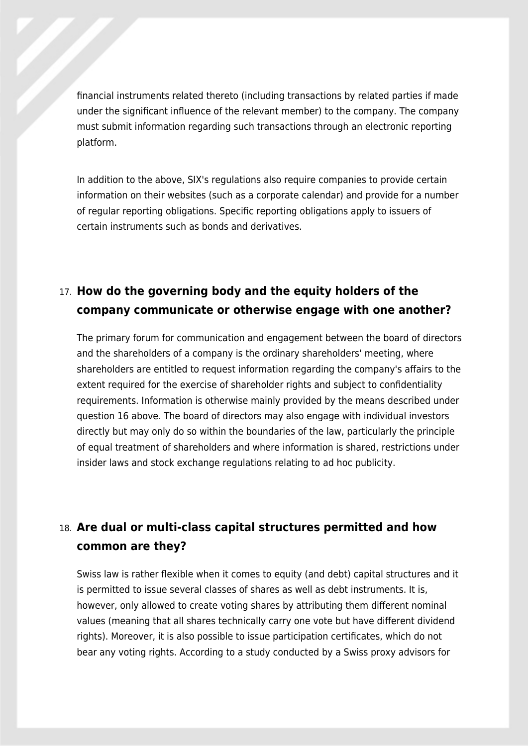financial instruments related thereto (including transactions by related parties if made under the significant influence of the relevant member) to the company. The company must submit information regarding such transactions through an electronic reporting platform.

In addition to the above, SIX's regulations also require companies to provide certain information on their websites (such as a corporate calendar) and provide for a number of regular reporting obligations. Specific reporting obligations apply to issuers of certain instruments such as bonds and derivatives.

### 17. **How do the governing body and the equity holders of the company communicate or otherwise engage with one another?**

The primary forum for communication and engagement between the board of directors and the shareholders of a company is the ordinary shareholders' meeting, where shareholders are entitled to request information regarding the company's affairs to the extent required for the exercise of shareholder rights and subject to confidentiality requirements. Information is otherwise mainly provided by the means described under question 16 above. The board of directors may also engage with individual investors directly but may only do so within the boundaries of the law, particularly the principle of equal treatment of shareholders and where information is shared, restrictions under insider laws and stock exchange regulations relating to ad hoc publicity.

### 18. **Are dual or multi-class capital structures permitted and how common are they?**

Swiss law is rather flexible when it comes to equity (and debt) capital structures and it is permitted to issue several classes of shares as well as debt instruments. It is, however, only allowed to create voting shares by attributing them different nominal values (meaning that all shares technically carry one vote but have different dividend rights). Moreover, it is also possible to issue participation certificates, which do not bear any voting rights. According to a study conducted by a Swiss proxy advisors for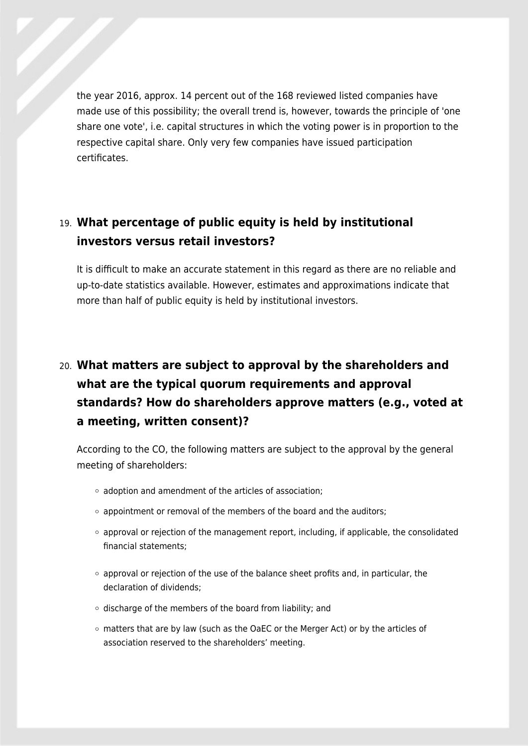the year 2016, approx. 14 percent out of the 168 reviewed listed companies have made use of this possibility; the overall trend is, however, towards the principle of 'one share one vote', i.e. capital structures in which the voting power is in proportion to the respective capital share. Only very few companies have issued participation certificates.

### 19. **What percentage of public equity is held by institutional investors versus retail investors?**

It is difficult to make an accurate statement in this regard as there are no reliable and up-to-date statistics available. However, estimates and approximations indicate that more than half of public equity is held by institutional investors.

# 20. **What matters are subject to approval by the shareholders and what are the typical quorum requirements and approval standards? How do shareholders approve matters (e.g., voted at a meeting, written consent)?**

According to the CO, the following matters are subject to the approval by the general meeting of shareholders:

- $\circ$  adoption and amendment of the articles of association:
- $\circ$  appointment or removal of the members of the board and the auditors;
- $\circ$  approval or rejection of the management report, including, if applicable, the consolidated financial statements;
- $\circ$  approval or rejection of the use of the balance sheet profits and, in particular, the declaration of dividends;
- $\circ$  discharge of the members of the board from liability; and
- $\circ$  matters that are by law (such as the OaEC or the Merger Act) or by the articles of association reserved to the shareholders' meeting.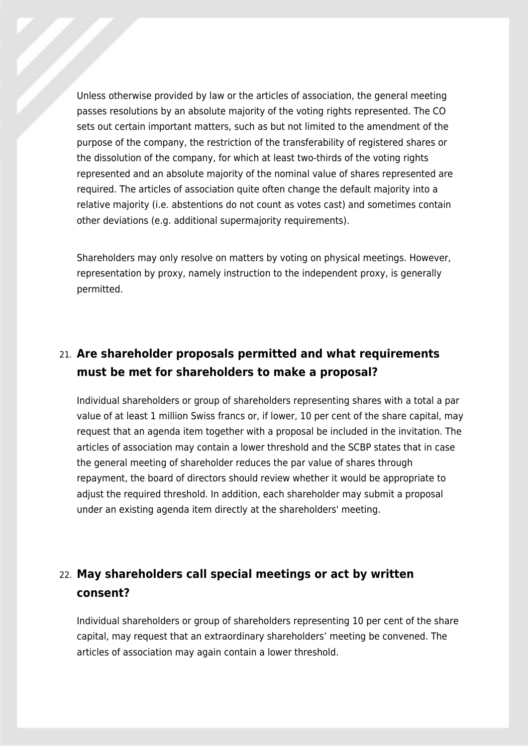Unless otherwise provided by law or the articles of association, the general meeting passes resolutions by an absolute majority of the voting rights represented. The CO sets out certain important matters, such as but not limited to the amendment of the purpose of the company, the restriction of the transferability of registered shares or the dissolution of the company, for which at least two-thirds of the voting rights represented and an absolute majority of the nominal value of shares represented are required. The articles of association quite often change the default majority into a relative majority (i.e. abstentions do not count as votes cast) and sometimes contain other deviations (e.g. additional supermajority requirements).

Shareholders may only resolve on matters by voting on physical meetings. However, representation by proxy, namely instruction to the independent proxy, is generally permitted.

### 21. **Are shareholder proposals permitted and what requirements must be met for shareholders to make a proposal?**

Individual shareholders or group of shareholders representing shares with a total a par value of at least 1 million Swiss francs or, if lower, 10 per cent of the share capital, may request that an agenda item together with a proposal be included in the invitation. The articles of association may contain a lower threshold and the SCBP states that in case the general meeting of shareholder reduces the par value of shares through repayment, the board of directors should review whether it would be appropriate to adjust the required threshold. In addition, each shareholder may submit a proposal under an existing agenda item directly at the shareholders' meeting.

### 22. **May shareholders call special meetings or act by written consent?**

Individual shareholders or group of shareholders representing 10 per cent of the share capital, may request that an extraordinary shareholders' meeting be convened. The articles of association may again contain a lower threshold.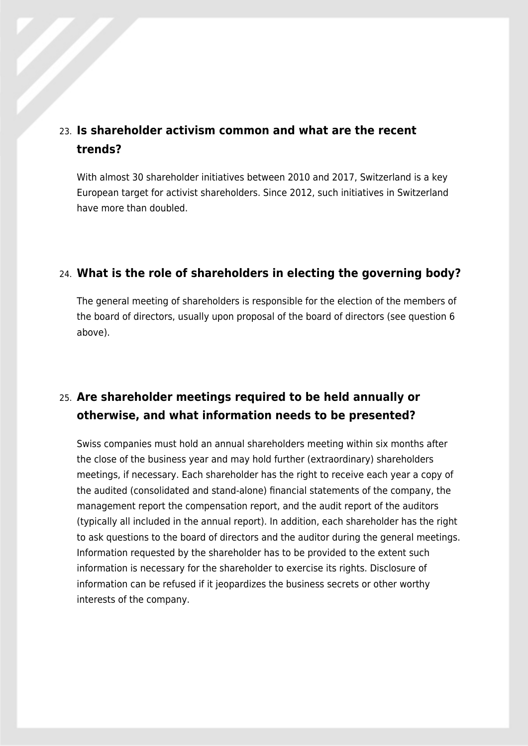#### 23. **Is shareholder activism common and what are the recent trends?**

With almost 30 shareholder initiatives between 2010 and 2017, Switzerland is a key European target for activist shareholders. Since 2012, such initiatives in Switzerland have more than doubled.

#### 24. **What is the role of shareholders in electing the governing body?**

The general meeting of shareholders is responsible for the election of the members of the board of directors, usually upon proposal of the board of directors (see question 6 above).

### 25. **Are shareholder meetings required to be held annually or otherwise, and what information needs to be presented?**

Swiss companies must hold an annual shareholders meeting within six months after the close of the business year and may hold further (extraordinary) shareholders meetings, if necessary. Each shareholder has the right to receive each year a copy of the audited (consolidated and stand-alone) financial statements of the company, the management report the compensation report, and the audit report of the auditors (typically all included in the annual report). In addition, each shareholder has the right to ask questions to the board of directors and the auditor during the general meetings. Information requested by the shareholder has to be provided to the extent such information is necessary for the shareholder to exercise its rights. Disclosure of information can be refused if it jeopardizes the business secrets or other worthy interests of the company.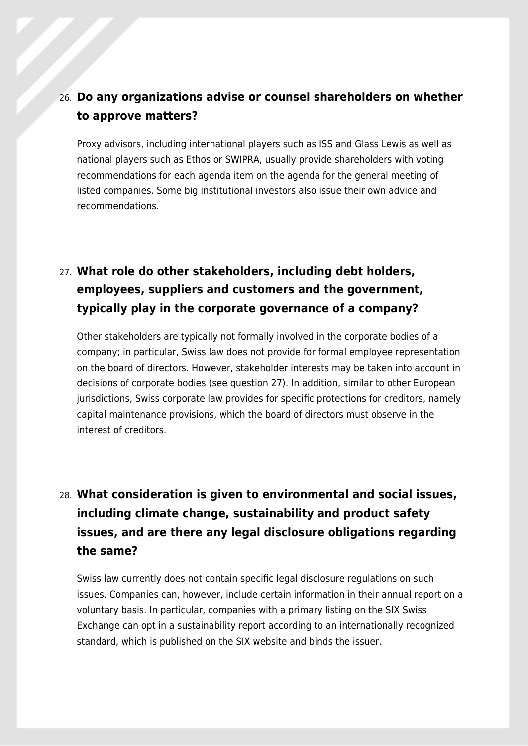### 26. **Do any organizations advise or counsel shareholders on whether to approve matters?**

Proxy advisors, including international players such as ISS and Glass Lewis as well as national players such as Ethos or SWIPRA, usually provide shareholders with voting recommendations for each agenda item on the agenda for the general meeting of listed companies. Some big institutional investors also issue their own advice and recommendations.

## 27. **What role do other stakeholders, including debt holders, employees, suppliers and customers and the government, typically play in the corporate governance of a company?**

Other stakeholders are typically not formally involved in the corporate bodies of a company; in particular, Swiss law does not provide for formal employee representation on the board of directors. However, stakeholder interests may be taken into account in decisions of corporate bodies (see question 27). In addition, similar to other European jurisdictions, Swiss corporate law provides for specific protections for creditors, namely capital maintenance provisions, which the board of directors must observe in the interest of creditors.

# 28. **What consideration is given to environmental and social issues, including climate change, sustainability and product safety issues, and are there any legal disclosure obligations regarding the same?**

Swiss law currently does not contain specific legal disclosure regulations on such issues. Companies can, however, include certain information in their annual report on a voluntary basis. In particular, companies with a primary listing on the SIX Swiss Exchange can opt in a sustainability report according to an internationally recognized standard, which is published on the SIX website and binds the issuer.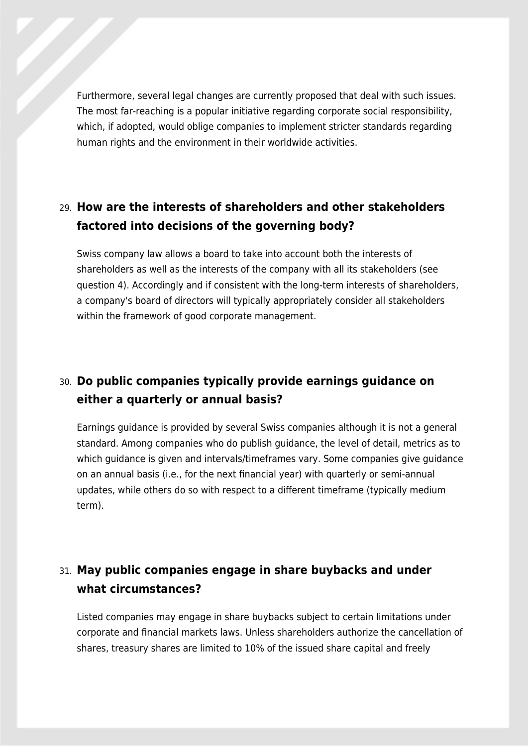Furthermore, several legal changes are currently proposed that deal with such issues. The most far-reaching is a popular initiative regarding corporate social responsibility, which, if adopted, would oblige companies to implement stricter standards regarding human rights and the environment in their worldwide activities.

### 29. **How are the interests of shareholders and other stakeholders factored into decisions of the governing body?**

Swiss company law allows a board to take into account both the interests of shareholders as well as the interests of the company with all its stakeholders (see question 4). Accordingly and if consistent with the long-term interests of shareholders, a company's board of directors will typically appropriately consider all stakeholders within the framework of good corporate management.

## 30. **Do public companies typically provide earnings guidance on either a quarterly or annual basis?**

Earnings guidance is provided by several Swiss companies although it is not a general standard. Among companies who do publish guidance, the level of detail, metrics as to which guidance is given and intervals/timeframes vary. Some companies give guidance on an annual basis (i.e., for the next financial year) with quarterly or semi-annual updates, while others do so with respect to a different timeframe (typically medium term).

### 31. **May public companies engage in share buybacks and under what circumstances?**

Listed companies may engage in share buybacks subject to certain limitations under corporate and financial markets laws. Unless shareholders authorize the cancellation of shares, treasury shares are limited to 10% of the issued share capital and freely